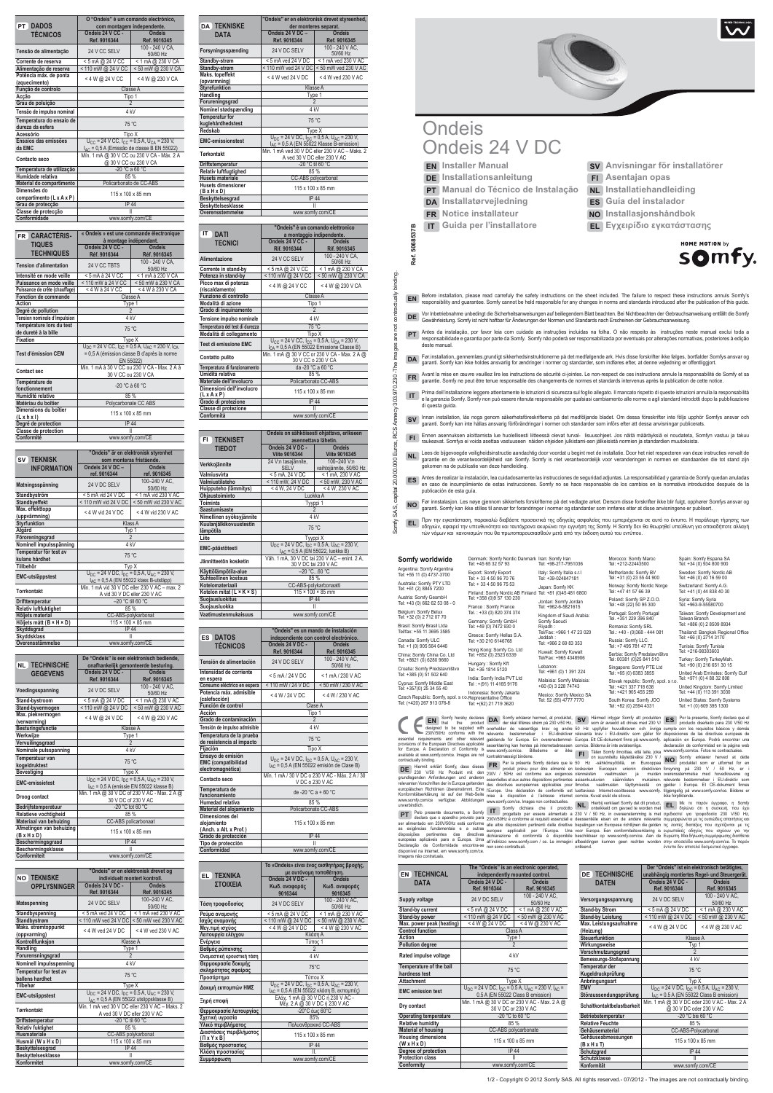# **Ondeis** Ondeis 24 V DC

**Ref. 5068537B** 

Ref.

binding.

actually contra đ are images <u>م</u> 230. 303.970. 5068537B

**EN Installer Manual DE Installationsanleitung PT Manual do Técnico de Instalação DA Installatørvejledning FR Notice installateur**

**IT Guida per l'installatore**

- **SV Anvisningar för installatörer FI Asentajan opas**
- **NL Installatiehandleiding**
- **ES Guía del instalador**
- **NO Installasjonshåndbok**
- **EL Εγχειρίδιο εγκατάστασης**



disposições pertinentes das directivas europeias aplicáveis para a Europa. Uma Declaração de Conformidade encontra-se disponível na Internet, em www.somfy.com/ce. Imagens não contratuais. dichiarazione di conformità è disponibile all'indirizzo www.somfy.com / ce. Le immagini non sono contrattuali. SV Hämmel intygar Somma arvesta divinus med 230 V/<br>
Hämmel intygar Somma arvesta at divinus med 230 V/<br>
Ferevanta krav i EU-direktiv som agiler for<br>
eEuropa. Ett CE-dokument finns på www.somfy.<br>
com/ce. Bilderma ar inte a beschikbaar op www.somfy.com/ce. Aan de afbeeldingen kunnen geen rechten worden ontleend. Ευρώπη. Μια δήλωση συμμόρφωσης διατίθεται στην ιστοσελίδα www.somfy.com/ce. Το παρόν έντυπο δεν αποτελεί δεσμευτικό έγγραφο.

|                                         | O "Ondeis" é um comando electrónico,                    |                    |  |
|-----------------------------------------|---------------------------------------------------------|--------------------|--|
| <b>PT DADOS</b>                         | com montagem independente.                              |                    |  |
| <b>TÉCNICOS</b>                         | Ondeis 24 V CC -                                        | Ondeis             |  |
|                                         | Ref. 9016344                                            | Ref. 9016345       |  |
| Tensão de alimentação                   | 24 V CC SELV                                            | 100 - 240 V CA.    |  |
|                                         |                                                         | 50/60 Hz           |  |
| Corrente de reserva                     | < 5 mA @ 24 V CC                                        | < 1 mA @ 230 V CA  |  |
| Alimentacão de reserva                  | < 110 mW @ 24 V CC                                      | < 50 mW @ 230 V CA |  |
| Potência máx. de ponta<br>(aquecimento) | < 4 W @ 24 V CC                                         | < 4 W @ 230 V CA   |  |
| Função de controlo                      | Classe A                                                |                    |  |
| Acção                                   | Tipo 1                                                  |                    |  |
| Grau de poluição                        | $\mathfrak{p}$                                          |                    |  |
| Tensão de impulso nominal               | 4 kV                                                    |                    |  |
| Temperatura do ensaio de                | 75 °C                                                   |                    |  |
| dureza da esfera                        |                                                         |                    |  |
| Acessório                               | Tipo X                                                  |                    |  |
| Ensaios das emissões                    | $U_{CC}$ = 24 V CC, $I_{CC}$ = 0,5 A, $U_{CA}$ = 230 V, |                    |  |
| da EMC                                  | I <sub>AC</sub> = 0,5 A (Emissão de classe B EN 55022)  |                    |  |
| Contacto seco                           | Mín. 1 mA @ 30 V CC ou 230 V CA - Máx. 2 A              |                    |  |
|                                         | @ 30 V CC ou 230 V CA                                   |                    |  |
| Temperatura de utilização               | -20 °C a 60 °C                                          |                    |  |
| Humidade relativa                       | 85 %                                                    |                    |  |
| Material do compartimento               | Policarbonato de CC-ABS                                 |                    |  |
| Dimensões do                            | 115 x 100 x 85 mm                                       |                    |  |
| compartimento (L x A x P)               |                                                         |                    |  |
| Grau de protecção                       | <b>IP 44</b>                                            |                    |  |
| Classe de protecção                     |                                                         |                    |  |
| Conformidade                            |                                                         | www.somfy.com/CE   |  |

| FR CARACTERIS-                 | « Ondeis » est une commande électronique<br>à montage indépendant.  |                                                                                              |
|--------------------------------|---------------------------------------------------------------------|----------------------------------------------------------------------------------------------|
| <b>TIQUES</b>                  | Ondeis 24 V CC -                                                    | Ondeis                                                                                       |
| <b>TECHNIQUES</b>              | Réf. 9016344                                                        | Réf. 9016345                                                                                 |
| <b>Tension d'alimentation</b>  | 24 V CC TBTS                                                        | 100 - 240 V CA.                                                                              |
|                                |                                                                     | 50/60 Hz                                                                                     |
| Intensité en mode veille       | < 5 mA à 24 V CC                                                    | < 1 mA à 230 V CA                                                                            |
| Puissance en mode veille       | < 110 mW à 24 V CC                                                  | < 50 mW à 230 V CA                                                                           |
| Puissance de crête (chauffage) | < 4 W à 24 V CC                                                     | < 4 W à 230 V CA                                                                             |
| Fonction de commande           |                                                                     | Classe A                                                                                     |
| Action                         |                                                                     | Type 1                                                                                       |
| Degré de pollution             |                                                                     | $\overline{2}$                                                                               |
| Tension nominale d'impulsion   | 4 <sub>kV</sub>                                                     |                                                                                              |
| Température lors du test       |                                                                     |                                                                                              |
| de dureté à la bille           | 75 °C                                                               |                                                                                              |
| <b>Fixation</b>                | Type X                                                              |                                                                                              |
|                                |                                                                     | $U_{\text{DC}}$ = 24 V CC, $I_{\text{DC}}$ = 0,5 A, $U_{\text{AC}}$ = 230 V, $I_{\text{CA}}$ |
| <b>Test d'émission CEM</b>     | = 0,5 A (émission classe B d'après la norme                         |                                                                                              |
|                                | EN 55022)                                                           |                                                                                              |
| Contact sec                    | Min. 1 mA à 30 V CC ou 230 V CA - Max. 2 A à<br>30 V CC ou 230 V CA |                                                                                              |
|                                |                                                                     |                                                                                              |
| Température de                 |                                                                     |                                                                                              |
| fonctionnement                 | $-20$ °C à 60 °C                                                    |                                                                                              |
| Humidité relative              | 85 %                                                                |                                                                                              |
| Matériau du boîtier            | Polycarbonate CC ABS                                                |                                                                                              |
| Dimensions du boîtier          |                                                                     |                                                                                              |
| (L x h x I)                    | 115 x 100 x 85 mm                                                   |                                                                                              |
| Degré de protection            | <b>IP 44</b>                                                        |                                                                                              |
| Classe de protection           | Ш                                                                   |                                                                                              |
| Conformité                     | www.somfv.com/CE                                                    |                                                                                              |

|                                  | "Ondeis" är en elektronisk styrenhet<br>som monteras fristående. |                               |
|----------------------------------|------------------------------------------------------------------|-------------------------------|
| <b>SV TEKNISK</b>                |                                                                  |                               |
| <b>INFORMATION</b>               | Ondeis 24 V DC -                                                 | <b>Ondeis</b>                 |
|                                  | ref. 9016344                                                     | ref. 9016345                  |
| Matningsspänning                 | 24 V DC SELV                                                     | 100-240 V AC,                 |
|                                  |                                                                  | 50/60 Hz                      |
| Standbyström                     | < 5 mA vid 24 V DC                                               | < 1 mA vid 230 V AC           |
| <b>Standbyeffekt</b>             | < 110 mW vid 24 V DC                                             | < 50 mW vid 230 V AC          |
| Max. effekttopp<br>(uppvärmning) | < 4 W vid 24 V DC                                                | < 4 W vid 230 V AC            |
| <b>Styrfunktion</b>              |                                                                  | Klass A                       |
| Atgärd                           | Typ 1                                                            |                               |
| Föroreningsgrad                  | $\overline{2}$                                                   |                               |
| Nominell impulsspänning          | 4 kV                                                             |                               |
| Temperatur för test av           |                                                                  |                               |
| kulans hårdhet                   | 75 °C                                                            |                               |
| Tillbehör                        | Typ X                                                            |                               |
|                                  | $U_{DC}$ = 24 V DC, $I_{DC}$ = 0,5 A, $U_{AC}$ = 230 V,          |                               |
| <b>EMC-utsläppstest</b>          | $I_{AC}$ = 0,5 A (EN 55022 klass B-utsläpp)                      |                               |
| <b>Torrkontakt</b>               | Min. 1 mA vid 30 V DC eller 230 V AC - max. 2                    |                               |
|                                  | A vid 30 V DC eller 230 V AC                                     |                               |
| Drifttemperatur                  | -20 °C till 60 °C                                                |                               |
| <b>Relativ luftfuktighet</b>     | 85 %                                                             |                               |
| Höljets material                 | CC-ABS-polykarbonat                                              |                               |
| Höljets mått (B × H × D)         |                                                                  | $115 \times 100 \times 85$ mm |
| Skyddsgrad                       | <b>IP 44</b>                                                     |                               |
| <b>Skyddsklass</b>               |                                                                  |                               |
| Överensstämmelse                 | www.somfy.com/CE                                                 |                               |

| <b>TECHNISCHE</b><br>NL           | De "Ondeis" is een elektronisch bediende,<br>onafhankelijk gemonteerde besturing.                                            |                               |
|-----------------------------------|------------------------------------------------------------------------------------------------------------------------------|-------------------------------|
| <b>GEGEVENS</b>                   | Ondeis 24 V DC -<br>Ref. 9016344                                                                                             | <b>Ondeis</b><br>Ref. 9016345 |
| Voedingsspanning                  | 24 V DC SELV                                                                                                                 | 100 - 240 V AC.<br>50/60 Hz   |
| Stand-bystroom                    | < 5 mA @ 24 V DC                                                                                                             | < 1 mA @ 230 V AC             |
| Stand-byvermogen                  | < 110 mW @ 24 V DC                                                                                                           | < 50 mW @ 230 V AC            |
| Max. piekvermogen<br>(verwarming) | < 4 W @ 24 V DC                                                                                                              | < 4 W @ 230 V AC              |
| <b>Besturingsfunctie</b>          | Klasse A                                                                                                                     |                               |
| Werkwiize                         | Type 1                                                                                                                       |                               |
| Vervuilingsgraad                  | $\mathfrak{p}$                                                                                                               |                               |
| Nominale pulsspanning             | 4 kV                                                                                                                         |                               |
| Temperatuur van<br>kogeldruktest  | 75 °C                                                                                                                        |                               |
| <b>Bevestiging</b>                | Type X                                                                                                                       |                               |
| <b>EMC-emissietest</b>            | $U_{\text{DC}}$ = 24 V DC, $I_{\text{DC}}$ = 0.5 A, $U_{\text{AC}}$ = 230 V,<br>$I_{AC}$ = 0,5 A (emissie EN 55022 klasse B) |                               |
| Droog contact                     | Min. 1 mA @ 30 V DC of 230 V AC - Max. 2 A @<br>30 V DC of 230 V AC                                                          |                               |
| Bedrijfstemperatuur               | -20 °C tot 60 °C                                                                                                             |                               |
| Relatieve vochtigheid             | 85 %                                                                                                                         |                               |
| Materiaal van behuizing           | CC-ABS policarbonaat                                                                                                         |                               |

| Afmetingen van behuizing | 115 x 100 x 85 mm |  |
|--------------------------|-------------------|--|
| $(B \times H \times D)$  |                   |  |
| Beschermingsgraad        | IP 44             |  |
| Beschermingsklasse       |                   |  |
| <b>Conformiteit</b>      | www.somfy.com/CE  |  |

| <b>NO TEKNISKE</b>                  | "Ondeis" er en elektronisk drevet og<br>individuelt montert kontroll.                                                        |                           |
|-------------------------------------|------------------------------------------------------------------------------------------------------------------------------|---------------------------|
| <b>OPPLYSNINGER</b>                 | Ondeis 24 V DC -                                                                                                             | <b>Ondeis</b>             |
|                                     | Ref. 9016344                                                                                                                 | Ref. 9016345              |
| <b>Matespenning</b>                 | 24 V DC SELV                                                                                                                 | 100-240 V AC.<br>50/60 Hz |
| Standbyspenning                     | < 5 mA ved 24 V DC                                                                                                           | $<$ 1 mA ved 230 V AC     |
| Standbystrøm                        | < 110 mW ved 24 V DC                                                                                                         | < 50 mW ved 230 V AC      |
| Maks. strømtoppunkt<br>(oppvarming) | $<$ 4 W ved 24 V DC                                                                                                          | < 4 W yed 230 V AC        |
| Kontrollfunksjon                    |                                                                                                                              | Klasse A                  |
| Handling                            | Type 1                                                                                                                       |                           |
| Forurensningsgrad                   | 2                                                                                                                            |                           |
| <b>Nominell impulsspenning</b>      | 4 <sub>kV</sub>                                                                                                              |                           |
| Temperatur for test av              | 75 °C                                                                                                                        |                           |
| ballens hardhet                     |                                                                                                                              |                           |
| Tilbehør                            | Type X                                                                                                                       |                           |
| <b>EMC-utslippstest</b>             | $U_{\text{DC}}$ = 24 V DC, $I_{\text{DC}}$ = 0.5 A, $U_{\text{AC}}$ = 230 V,<br>$I_{AC}$ = 0,5 A (EN 55022 utslippsklasse B) |                           |
|                                     | Min. 1 mA ved 30 V DC eller 230 V AC - Maks. 2                                                                               |                           |
| <b>Tørrkontakt</b>                  | A ved 30 V DC eller 230 V AC                                                                                                 |                           |
| Driftstemperatur                    | -20 °C til 60 °C                                                                                                             |                           |
| <b>Relativ fuktighet</b>            | 85%                                                                                                                          |                           |
| <b>Husmateriale</b>                 | CC-ABS polykarbonat                                                                                                          |                           |
| Husmål (W x H x D)                  | 115 x 100 x 85 mm                                                                                                            |                           |
| Beskyttelsesgrad                    | IP 44                                                                                                                        |                           |
| <b>Beskyttelsesklasse</b>           |                                                                                                                              |                           |
| Konformitet                         | www.somfy.com/CE                                                                                                             |                           |

|                                            | "Ondeis" er en elektronisk drevet styreenhed,                                                                                 |                             |
|--------------------------------------------|-------------------------------------------------------------------------------------------------------------------------------|-----------------------------|
| <b>DA TEKNISKE</b>                         | der monteres separat.                                                                                                         |                             |
| <b>DATA</b>                                | Ondeis 24 V DC -                                                                                                              | <b>Ondeis</b>               |
|                                            | Ref. 9016344                                                                                                                  | Ref. 9016345                |
| Forsyningsspænding                         | 24 V DC SELV                                                                                                                  | 100 - 240 V AC.<br>50/60 Hz |
| Standby-strøm                              | $<$ 5 mA ved 24 V DC                                                                                                          | < 1 mA ved 230 V AC         |
| Standby-strøm                              | < 110 mW yed 24 V DC                                                                                                          | < 50 mW ved 230 V AC        |
| Maks. topeffekt<br>(opvarmning)            | < 4 W ved 24 V DC                                                                                                             | < 4 W ved 230 V AC          |
|                                            | Klasse A                                                                                                                      |                             |
| <b>Styrefunktion</b>                       |                                                                                                                               |                             |
| Handling                                   | Type 1                                                                                                                        |                             |
| Forureningsgrad                            | $\mathfrak{p}$                                                                                                                |                             |
| Nominel stødspænding                       | 4 <sub>kV</sub>                                                                                                               |                             |
| <b>Temperatur for</b><br>kuglehårdhedstest | 75 °C                                                                                                                         |                             |
| Redskab                                    | Type X                                                                                                                        |                             |
| <b>EMC-emissionstest</b>                   | $U_{\text{DC}}$ = 24 V DC, $I_{\text{DC}}$ = 0,5 A, $U_{\text{AC}}$ = 230 V,<br>$I_{AC}$ = 0.5 A (EN 55022 Klasse B-emission) |                             |
| <b>Tørkontakt</b>                          | Min. 1 mA yed 30 V DC eller 230 V AC - Maks. 2                                                                                |                             |
|                                            | A ved 30 V DC eller 230 V AC                                                                                                  |                             |
| Driftstemperatur                           | -20 °C til 60 °C                                                                                                              |                             |
| <b>Relativ luftfugtighed</b>               | 85 %                                                                                                                          |                             |
| <b>Husets materiale</b>                    | CC-ABS polycarbonat                                                                                                           |                             |
| <b>Husets dimensioner</b><br>(BxHxD)       | 115 x 100 x 85 mm                                                                                                             |                             |
| Beskyttelsesgrad                           | <b>IP 44</b>                                                                                                                  |                             |
| Beskyttelsesklasse                         | Ш                                                                                                                             |                             |
| Overensstemmelse                           | www.somfy.com/CE                                                                                                              |                             |
|                                            |                                                                                                                               |                             |

**"Ondeis" è un comando elettronico** 

| IT.<br><b>DATI</b>                                   | a montaggio indipendente.                                                                                        |                             |
|------------------------------------------------------|------------------------------------------------------------------------------------------------------------------|-----------------------------|
| <b>TECNICI</b>                                       | Ondeis 24 V CC -<br>Ondeis                                                                                       |                             |
|                                                      | Rif. 9016344                                                                                                     | Rif. 9016345                |
| Alimentazione                                        | 24 V CC SELV                                                                                                     | 100 - 240 V CA.<br>50/60 Hz |
| Corrente in stand-by                                 | < 5 mA @ 24 V CC                                                                                                 | < 1 mA @ 230 V CA           |
| Potenza in stand-by                                  | < 110 mW @ 24 V CC                                                                                               | < 50 mW @ 230 V CA          |
| Picco max di potenza<br>(riscaldamento)              | < 4 W @ 24 V CC                                                                                                  | < 4 W @ 230 V CA            |
| Funzione di controllo                                |                                                                                                                  | Classe A                    |
| Modalità di azione                                   | Tipo 1                                                                                                           |                             |
| Grado di inquinamento                                |                                                                                                                  |                             |
| Tensione impulso nominale                            | 4 kV                                                                                                             |                             |
| Temperatura del test di durezza                      | 75 °C                                                                                                            |                             |
| Modalità di collegamento                             | Tipo X                                                                                                           |                             |
| Test di emissione EMC                                | $U_{CC}$ = 24 V CC, $I_{CC}$ = 0,5 A, $U_{CA}$ = 230 V,<br>I <sub>CA</sub> = 0,5 A (EN 55022 Emissione Classe B) |                             |
| Contatto pulito                                      | Min. 1 mA @ 30 V CC or 230 V CA - Max. 2 A @<br>30 V CC o 230 V CA                                               |                             |
| Temperatura di funzionamento                         | da -20 °C a 60 °C                                                                                                |                             |
| Umidità relativa                                     | 85 %                                                                                                             |                             |
| Materiale dell'involucro                             | Policarbonato CC-ABS                                                                                             |                             |
| Dimensioni dell'involucro<br>$(L \times A \times P)$ | 115 x 100 x 85 mm                                                                                                |                             |
| Grado di protezione                                  | <b>IP 44</b>                                                                                                     |                             |
| Classe di protezione                                 | н                                                                                                                |                             |
| Conformità                                           | www.somfy.com/CE                                                                                                 |                             |

- EN Before installation, please read carretuly the safety instructions on the sheet included. The failure to respect these instructions annuls Somfy's responsibility and guarantee. Somfy cannot be held responsibility and gu
- DE Vor Inbetriebnahme unbedingt die Sicherheitsanweisungen auf beiliegendem Blatt beachten. Bei Nichtbeachten der Gebrauchsanweisung entfällt die Somfy<br>Gewährleistung. Somfy ist nicht haftbar für Änderungen der Normen und
- **PT** Antes da instalação, por favor leia com cuidado as instruções incluidas na folha. O não respeito às instruções neste manual exclui toda a responsabilidade e garantia por parte da Somfy. Somfy não poderà ser responsabilizada por eventuais por alterações normativas, posteriores à edição deste manual.
- DA Før installation, gennemlæs grundigt sikkerhedsinstruktionerne på det medfølgende ark. Hvis disse forskrifter ikke følges, bortfalder Somfys ansvar og<br>Garanti. Somfy kan ikke holdes ansvarlig for ændringer i normer og s
- FR ) Avant la mise en œuvre veuillez lire les instructions de sécurité ci-jointes. Le non-respect de ces instructions annule la responsabilité de Somfy et sa<br>garantie. Somfy ne peut être tenue responsable des changements d
- Prima dell'installazione leggere attentamente le istruzioni di sicurezza sul foglio allegato. Il mancato rispetto di queste istruzioni annulla la responsabilità<br>e la garanzia Somfy. Somfy non può essere ritenuta responsabi di questa guida.
- SV) Innan installation, läs noga genom säkerhetsföreskrifterna på det medföljande bladet. Om dessa föreskrifter inte följs upphör Somfys ansvar och<br>Garanti. Somfy kan inte hållas ansvarig förförändringar i normer och stand
- **FI** Ennen asennuksen aloittamista lue huolellisesti liitteessä olevat turval- lisuusohjeet. Jos näitä määräyksiä ei noudateta, Somfyn vastuu ja takuu raukeavat. Somfya ei voida asettaa vastuuseen näiden ohjeiden julkistami-sen jälkeisistä normien ja standardien muutoksista.
- **NL** Lees de bijgevoegde veiligheidsinstructie aandachtig door voordat u begint met de installatie. Door het niet respecteren van deze instructies vervalt de garantie en de verantwoordelijkheid van Somfy. Somfy is niet verantwoordelijk voor veranderingen in normen en standaarden die tot stand zijn gekomen na de publicatie van deze handleiding.
- ES ) Antes de realizar la instalación, lea cuidadosamente las instrucciones de seguridad adjuntas. La responsabilidad y garantía de Somfy quedan anuladas<br>Pen caso de incumplimiento de estas instrucciones. Somfy no se hace publicación de esta guía.
- NO Før innstalasjon. Les nøye gjennom sikkerhets forskrifterne på det vedlagte arket. Dersom disse forskrifter ikke blir fulgt, opphører Somfys ansvar og<br>Garanti. Somfy kan ikke stilles til ansvar for forandringer i normer
- ΕL Πριν την εγκατάσταση, παρακαλώ διαβάστε προσεκτικά της οδηγείες ασφαλείας που εμπεριέχονται σε αυτό το έντυπο. Η παράλειψη τήρησης των<br>Οδηγιών, αφαιρεί την υπευθυνότητα και ταυτόχρονα ακυρώνει την εγγυήση της Somfy. Η τών νόμων και κανονισμών που θα πρωτοπαρουσιασθούν μετά από την έκδοση αυτού του εντύπου.

|                                      | Ondeis on sähköisesti ohjattava, erikseen                                                                             |                         |
|--------------------------------------|-----------------------------------------------------------------------------------------------------------------------|-------------------------|
| FL.<br><b>TEKNISET</b>               | asennettava lähetin.                                                                                                  |                         |
| <b>TIEDOT</b>                        | Ondeis 24 V DC -                                                                                                      | <b>Ondeis</b>           |
|                                      | <b>Viite 9016344</b>                                                                                                  | <b>Viite 9016345</b>    |
| Verkkojännite                        | 24 V:n tasajännite,                                                                                                   | 100-240 V:n             |
|                                      | <b>SELV</b>                                                                                                           | vaihtojännite, 50/60 Hz |
| Valmiusvirta                         | $<$ 5 mA, 24 V DC                                                                                                     | < 1 mA, 230 V AC        |
| Valmiustilateho                      | < 110 mW, 24 V DC                                                                                                     | < 50 mW, 230 V AC       |
| Huipputeho (lämmitys)                | < 4 W. 24 V DC                                                                                                        | < 4 W. 230 V AC         |
| Ohjaustoiminto                       |                                                                                                                       | Luokka A                |
| Toiminta                             | Tyyppi 1                                                                                                              |                         |
| <b>Saastumisaste</b>                 | $\overline{2}$                                                                                                        |                         |
| Nimellinen syöksyjännite             | 4 <sub>kV</sub>                                                                                                       |                         |
| Kuulanjälkikovuustestin<br>lämpötila | 75 °C                                                                                                                 |                         |
| Liite                                | Tyyppi X                                                                                                              |                         |
| EMC-päästötesti                      | $U_{\text{DC}}$ = 24 V DC, $I_{\text{DC}}$ = 0.5 A, $U_{\text{AC}}$ = 230 V,<br>$I_{AC}$ = 0,5 A (EN 55022, luokka B) |                         |
| Jännitteetön kosketin                | Väh. 1 mA, 30 V DC tai 230 V AC - enint. 2 A,<br>30 V DC tai 230 V AC                                                 |                         |
| Käyttölämpötila-alue                 | $-20 °C60 °C$                                                                                                         |                         |
| Suhteellinen kosteus                 | 85 %                                                                                                                  |                         |
| Kotelomateriaali                     | CC-ABS-polykarbonaatti                                                                                                |                         |
| Kotelon mitat (L × K × S)            | $115 \times 100 \times 85$ mm                                                                                         |                         |
| Suojausluokitus                      | IP 44                                                                                                                 |                         |
| Suojausluokka                        | Ш                                                                                                                     |                         |
| Vaatimustenmukaisuus                 | www.somfy.com/CE                                                                                                      |                         |

| <b>DATOS</b><br><b>ES</b><br><b>TÉCNICOS</b>                         | "Ondeis" es un mando de instalación<br>independiente con control electrónico.<br>Ondeis 24 V DC -<br><b>Ondeis</b><br>Ref. 9016345<br>Ref. 9016344 |                                                      |
|----------------------------------------------------------------------|----------------------------------------------------------------------------------------------------------------------------------------------------|------------------------------------------------------|
| Tensión de alimentación                                              | 24 V DC SELV                                                                                                                                       | 100 - 240 V AC.<br>50/60 Hz                          |
| Intensidad de corriente<br>en espera                                 | < 5 mA / 24 V DC                                                                                                                                   | < 1 mA / 230 V AC                                    |
| Consumo eléctrico en espera                                          | < 110 mW / 24 V DC                                                                                                                                 | < 50 mW / 230 V AC                                   |
| Potencia máx. admisible<br>(calefacción)                             | < 4 W / 24 V DC                                                                                                                                    | < 4 W / 230 V AC                                     |
| Función de control                                                   | Clase A                                                                                                                                            |                                                      |
| Acción<br>Grado de contaminación                                     | Tipo 1                                                                                                                                             | $\overline{2}$                                       |
| Tensión de impulso admisible                                         | 4 <sub>kV</sub>                                                                                                                                    |                                                      |
| Temperatura de la prueba                                             |                                                                                                                                                    |                                                      |
| de resistencia al impacto                                            | 75 °C                                                                                                                                              |                                                      |
| Fijación                                                             | Tipo X                                                                                                                                             |                                                      |
| Ensayo de emisión<br><b>EMC</b> (compatibilidad<br>electromagnética) | $U_{DC}$ = 24 V DC, $I_{DC}$ = 0,5 A, $U_{AC}$ = 230 V,                                                                                            | $I_{AC}$ = 0,5 A (EN 55022 emisión de Clase B)       |
| <b>Contacto seco</b>                                                 | Mín. 1 mA / 30 V DC o 230 V AC - Máx. 2 A / 30                                                                                                     |                                                      |
| Temperatura de                                                       | V DC o 230 V AC                                                                                                                                    |                                                      |
| funcionamiento                                                       | de -20 °C a + 60 °C                                                                                                                                |                                                      |
| Humedad relativa<br>Material del alojamiento                         | 85 %                                                                                                                                               |                                                      |
| Dimensiones del                                                      | Policarbonato CC-ABS                                                                                                                               |                                                      |
| alojamiento<br>(Anch. x Alt. x Prof.)                                | 115 x 100 x 85 mm                                                                                                                                  |                                                      |
| Grado de protección                                                  | <b>IP 44</b>                                                                                                                                       |                                                      |
| Tipo de protección                                                   | Ш<br>www.somfy.com/CE                                                                                                                              |                                                      |
|                                                                      |                                                                                                                                                    |                                                      |
| Conformidad                                                          |                                                                                                                                                    |                                                      |
|                                                                      | Το «Ondeis» είναι ένας αισθητήρας βροχής,                                                                                                          |                                                      |
| TEXNIKA                                                              |                                                                                                                                                    | με αυτόνομη τοποθέτηση.                              |
| EL.<br><b>ΣΤΟΙΧΕΙΑ</b>                                               | Ondeis 24 V DC -                                                                                                                                   | Ondeis                                               |
|                                                                      | Κωδ. αναφοράς<br>9016344                                                                                                                           | Κωδ. αναφοράς<br>9016345                             |
| Τάση τροφοδοσίας                                                     | 24 V DC SELV                                                                                                                                       | 100 - 240 V AC.<br>50/60 Hz                          |
| Ρεύμα αναμονής                                                       | <5 mA @ 24 V DC                                                                                                                                    | < 1 mA @ 230 V AC                                    |
| Ισχύς αναμονής                                                       | < 110 mW @ 24 V DC                                                                                                                                 | < 50 mW @ 230 V AC                                   |
| Μεγ.τιμή ισχύος                                                      | < 4 W @ 24 V DC                                                                                                                                    | < 4 W @ 230 V AC                                     |
| Λειτουργία ελέγχου<br>Ενέργεια                                       | Κλάση Α<br>Τύπος 1                                                                                                                                 |                                                      |
| Βαθμός ρύπανσης                                                      |                                                                                                                                                    | $\overline{2}$                                       |
| Ονομαστική κρουστική τάση                                            | 4 kV                                                                                                                                               |                                                      |
| Θερμοκρασία δοκιμής<br>σκληρότητας σφαίρας                           | $75^{\circ}$ C                                                                                                                                     |                                                      |
| Προσάρτημα                                                           |                                                                                                                                                    | Τύπου Χ                                              |
| Δοκιμή εκπομπών ΗΜΣ                                                  | $U_{\text{DC}}$ = 24 V DC, $I_{\text{DC}}$ = 0,5 A, $U_{\text{AC}}$ = 230 V,                                                                       | I <sub>AC</sub> = 0,5 A (EN 55022 κλάση Β, εκπομπές) |
| Ξηρή επαφή                                                           | Μέγ. 2 Α @ 30 V DC ή 230 V AC                                                                                                                      | Eλάχ. 1 mA @ 30 V DC ή 230 V AC -                    |
| Θερμοκρασία λειτουργίας                                              | -20°C έως 60°C                                                                                                                                     |                                                      |
| Σχετική υγρασία                                                      | 85%                                                                                                                                                |                                                      |
| Υλικό περιβλήματος                                                   | Πολυανθρακικό CC-ABS                                                                                                                               |                                                      |
| Διαστάσεις περιβλήματος<br>$(\Pi x Y x B)$                           |                                                                                                                                                    | 115 x 100 x 85 mm                                    |
| Βαθμός προστασίας                                                    | <b>IP 44</b>                                                                                                                                       |                                                      |
| Κλάση προστασίας<br>Συμμόρφωση                                       | Ш.<br>www.somfy.com/CE                                                                                                                             |                                                      |



| EN TECHNICAL                             | The "Ondeis" is an electronic operated,<br>independently mounted control.                               |                               |
|------------------------------------------|---------------------------------------------------------------------------------------------------------|-------------------------------|
| <b>DATA</b>                              | Ondeis 24 V DC -<br>Ref. 9016344                                                                        | <b>Ondeis</b><br>Ref. 9016345 |
| <b>Supply voltage</b>                    | 24 V DC SELV                                                                                            | 100 - 240 V AC.<br>50/60 Hz   |
| <b>Stand-by current</b>                  | < 5 mA @ 24 V DC                                                                                        | < 1 mA @ 230 V AC             |
| Stand-by power                           | < 110 mW @ 24 V DC                                                                                      | < 50 mW @ 230 V AC            |
| Max. power peak (heating)                | < 4 W @ 24 V DC                                                                                         | < 4 W @ 230 V AC              |
| <b>Control function</b>                  | Class A                                                                                                 |                               |
| Action                                   | Type 1                                                                                                  |                               |
| <b>Pollution degree</b>                  | $\mathfrak{D}$                                                                                          |                               |
| Rated impulse voltage                    | 4 <sub>kV</sub>                                                                                         |                               |
| Temperature of the ball<br>hardness test | $75^{\circ}$ C                                                                                          |                               |
| <b>Attachment</b>                        | Type X                                                                                                  |                               |
| <b>EMC</b> emission test                 | $U_{DC}$ = 24 V DC, $I_{DC}$ = 0.5 A, $U_{AC}$ = 230 V, $I_{AC}$ =<br>0.5 A (EN 55022 Class B emission) |                               |
| Dry contact                              | Min. 1 mA @ 30 V DC or 230 V AC - Max. 2 A @<br>30 V DC or 230 V AC                                     |                               |
| <b>Operating temperature</b>             | -20 °C to 60 °C                                                                                         |                               |
| <b>Relative humidity</b>                 | 85 %                                                                                                    |                               |
| <b>Material of housing</b>               | CC-ABS polycarbonate                                                                                    |                               |
| <b>Housing dimensions</b><br>(W x H x D) | 115 x 100 x 85 mm                                                                                       |                               |
| Degree of protection                     | IP 44                                                                                                   |                               |
| <b>Protection class</b>                  |                                                                                                         |                               |
| Conformity                               | www.somfv.com/CE                                                                                        |                               |

|                                     | Der "Ondeis" ist ein elektronisch betätigtes,<br>unabhängig montiertes Regel- und Steuergerät. |                    |
|-------------------------------------|------------------------------------------------------------------------------------------------|--------------------|
| <b>DE TECHNISCHE</b>                |                                                                                                |                    |
| <b>DATEN</b>                        | Ondeis 24 V DC -                                                                               | <b>Ondeis</b>      |
|                                     | Ref. 9016344                                                                                   | Ref. 9016345       |
| Versorgungsspannung                 | 24 V DC SELV                                                                                   | 100 - 240 V AC,    |
|                                     |                                                                                                | 50/60 Hz           |
| <b>Stand-by Strom</b>               | < 5 mA @ 24 V DC                                                                               | < 1 mA @ 230 V AC  |
| <b>Stand-by Leistung</b>            | < 110 mW @ 24 V DC                                                                             | < 50 mW @ 230 V AC |
| Max. Leistungsaufnahme<br>(Heizung) | < 4 W @ 24 V DC                                                                                | < 4 W @ 230 V AC   |
| <b>Steuerfunktion</b>               | Klasse A                                                                                       |                    |
|                                     |                                                                                                |                    |
| Wirkungsweise                       | Typ 1                                                                                          |                    |
| Verschmutzungsgrad                  |                                                                                                |                    |
| Bemessungs-Stoßspannung             | 4 kV                                                                                           |                    |
| Temperatur der                      | 75 °C                                                                                          |                    |
| Kugeldruckprüfung                   |                                                                                                |                    |
| Anbringungsart                      | Typ X                                                                                          |                    |
| <b>EMV</b>                          | $U_{\text{DC}}$ = 24 V DC, $I_{\text{DC}}$ = 0.5 A, $U_{\text{AC}}$ = 230 V,                   |                    |
| Störaussendungsprüfung              | $I_{AC}$ = 0.5 A (EN 55022 Class B emission)                                                   |                    |
| Schaltkontaktbelastbarkeit          | Min. 1 mA @ 30 V DC oder 230 V AC - Max. 2 A                                                   |                    |
|                                     | @ 30 V DC oder 230 V AC                                                                        |                    |
| Betriebstemperatur                  | -20 °C bis 60 °C                                                                               |                    |
| <b>Relative Feuchte</b>             | 85 %                                                                                           |                    |
| Gehäusematerial                     | CC-ABS-Polycarbonat                                                                            |                    |
| Gehäuseabmessungen                  |                                                                                                |                    |
| $(B \times H \times T)$             | 115 x 100 x 85 mm                                                                              |                    |
| Schutzgrad                          | <b>IP 44</b>                                                                                   |                    |
| <b>Schutzklasse</b>                 | Ш                                                                                              |                    |
| Konformität                         | www.somfy.com/CE                                                                               |                    |

| Somfy worldwide                                                                        | Denmark: Somfy Nordic Danmark Iran: Somfy Iran<br>Tel: +45 65 32 57 93              | Tel: +98-217-7951036                              | Morocco: Somfy Maroc<br>Tel: +212-22443500         | Spain: Somfy Espana SA<br>Tel: +34 (0) 934 800 900                                                                      |
|----------------------------------------------------------------------------------------|-------------------------------------------------------------------------------------|---------------------------------------------------|----------------------------------------------------|-------------------------------------------------------------------------------------------------------------------------|
| Argentina: Somfy Argentina<br>Tel: +55 11 (0) 4737-3700                                | Export: Somfy Export<br>Tel: + 33 4 50 96 70 76                                     | Italy: Somfy Italia s.r.l<br>Tel: +39-024847181   | Netherlands: Somfy BV<br>Tel: +31 (0) 23 55 44 900 | Sweden: Somfy Nordic AB<br>Tel: +46 (0) 40 16 59 00                                                                     |
| Australia: Somfy PTY LTD<br>Tel: +61 (2) 8845 7200                                     | Tel: + 33 4 50 96 75 53<br>Finland: Somfy Nordic AB Finland Tel: +81 (0)45 481 6800 | Japan: Somfy KK                                   | Norway: Somfy Nordic Norge<br>Tel: +47 41 57 66 39 | Switzerland: Somfy A.G.<br>Tel: +41 (0) 44 838 40 30                                                                    |
| Austria: Somfy GesmbH<br>Tel: +43 (0) 662 62 53 08 - 0                                 | Tel: +358 (0)9 57 130 230                                                           | Jordan: Somfy Jordan<br>Tel: +962-6-5821615       | Poland: Somfy SP Z.O.O.<br>Tel: +48 (22) 50 95 300 | Syria: Somfy Syria<br>Tel: +963-9-55580700                                                                              |
| Belgium: Somfy Belux<br>Tel: +32 (0) 2 712 07 70                                       | France: Somfy France<br>Tel.: +33 (0) 820 374 374                                   | Kingdom of Saudi Arabia:                          | Portugal: Somfy Portugal<br>Tel. +351 229 396 840  | Taïwan: Somfy Development and<br>Taiwan Branch                                                                          |
| Brasil: Somfy Brasil Ltda                                                              | Germany: Somfy GmbH<br>Tel: +49 (0) 7472 930 0                                      | Somfy Saoudi<br>Riyadh:                           | Romania: Somfy SRL                                 | Tel: +886 (0) 2 8509 8934                                                                                               |
| Tel/fax: +55 11 3695 3585                                                              | Greece: Somfy Hellas S.A.                                                           | Tel/Fax: +966 1 47 23 020<br>Jeddah:              | Tel.: +40 - (0)368 - 444 081                       | Thailand: Bangkok Regional Office<br>Tel: +66 (0) 2714 3170                                                             |
| Canada: Somfy ULC<br>Tel: +1 (0) 905 564 6446                                          | Tel: +30 210 6146768                                                                | Tel: +966 2 69 83 353                             | Russia: Somfy LLC.<br>Tel: +7 495 781 47 72        | Tunisia: Somfy Tunisia                                                                                                  |
| China: Somfy China Co. Ltd                                                             | Hong Kong: Somfy Co. Ltd                                                            | Kuwait: Somfy Kuwait                              | Serbia: Somfy Predstavništvo                       | Tel: +216-98303603                                                                                                      |
| Tel: +8621 (0) 6280 9660                                                               | Tel: +852 (0) 2523 6339                                                             | Tel/Fax: +965 4348906                             | Tel: 00381 (0)25 841 510                           | Turkey: Somfy TurkeyMah.<br>Tel: +90 (0) 216 651 30 15<br>United Arab Emirates: Somfy Gulf<br>Tel: +971 (0) 4 88 32 808 |
| Croatia: Somfy Predstavništvo<br>Tel: +385 (0) 51 502 640                              | Hungary: Somfy Kft<br>Tel: +36 1814 5120<br>India: Somfy India PVT Ltd              | Lebanon:<br>Tel: +961 (0) 1 391 224               | Singapore: Somfy PTE Ltd<br>Tel: +65 (0) 6383 3855 |                                                                                                                         |
|                                                                                        |                                                                                     |                                                   |                                                    |                                                                                                                         |
|                                                                                        | Indonesia: Somfy Jakarta                                                            | Mexico: Somfy Mexico SA<br>Tel: 52 (55) 4777 7770 |                                                    |                                                                                                                         |
| Czech Republic: Somfy, spol. s r.o. Representative Office<br>Tel: (+420) 267 913 076-8 | Tel: +(62) 21 719 3620                                                              |                                                   | South Korea: Somfy JOO<br>Tel: +82 (0) 2594 4331   | United States: Somfy Systems<br>Tel: +1 (0) 609 395 1300                                                                |

THE THE STONE THE STORE THE STORE IS that the product<br>
sesential requirements and other relevant<br>
constraints and other relevant<br>
for Europe. A Declination of Contomity is<br>
by contractually binding.<br>
CDE Heinrich relation  $\begin{tabular}{|c|c|} \hline \textbf{DA} & Some hermed, at product, the  
overholder de væsentlige krav og andre  
relevante bestemmebar in EU-direktwere  
sgalledende for Europa. En overestemme-  
sgalledende for Europa. En overestemme-  
severkundering kan hentes på internetemere-  
sww-somfycom/ice. Billederne er ikke  
www-somfycom/ice. Billederne er ikke  
www-somfycom/ice. Billederne er like  
komtaktmæssigt bindene. \\ \hline \textbf{F} \textbf{F} & \text{produit pfev} over det alimente en  
1320V / 50Hz est confome aux exig$ 

**ES** Por la presente, Sommy declara que el el computera que el computera propositiones de la sa directivas europeas de presidentes aplicación en Europa. Podrá encontrar una displicación en Europa. Podrá encontrar una div

Somfy SAS, capital 20.000.000 Euros, RCS Annecy 303.970.230 -The images are not contractually binding.

RCS Annecy

**Euros** 000 20.000 **IBI** DIES SAS. Somfy

1/2 - Copyright © 2012 Somfy SAS. All rights reserved.- 07/2012 - The images are not contractually binding.